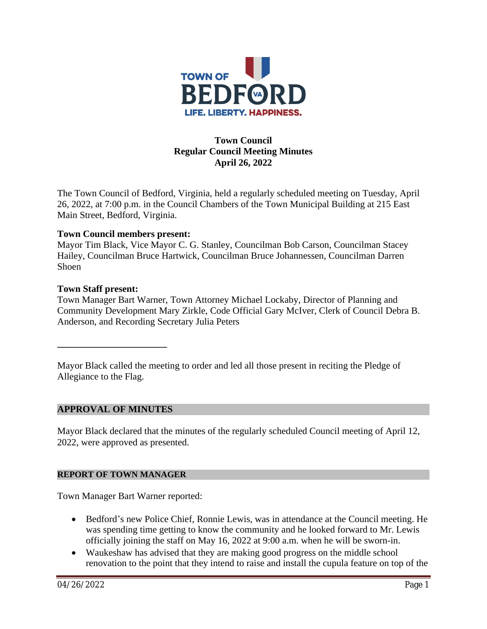

# **Town Council Regular Council Meeting Minutes April 26, 2022**

The Town Council of Bedford, Virginia, held a regularly scheduled meeting on Tuesday, April 26, 2022, at 7:00 p.m. in the Council Chambers of the Town Municipal Building at 215 East Main Street, Bedford, Virginia.

#### **Town Council members present:**

Mayor Tim Black, Vice Mayor C. G. Stanley, Councilman Bob Carson, Councilman Stacey Hailey, Councilman Bruce Hartwick, Councilman Bruce Johannessen, Councilman Darren Shoen

#### **Town Staff present:**

Town Manager Bart Warner, Town Attorney Michael Lockaby, Director of Planning and Community Development Mary Zirkle, Code Official Gary McIver, Clerk of Council Debra B. Anderson, and Recording Secretary Julia Peters

Mayor Black called the meeting to order and led all those present in reciting the Pledge of Allegiance to the Flag.

#### **APPROVAL OF MINUTES**

**\_\_\_\_\_\_\_\_\_\_\_\_\_\_\_\_\_\_\_\_\_\_\_**

Mayor Black declared that the minutes of the regularly scheduled Council meeting of April 12, 2022, were approved as presented.

#### **REPORT OF TOWN MANAGER**

Town Manager Bart Warner reported:

- Bedford's new Police Chief, Ronnie Lewis, was in attendance at the Council meeting. He was spending time getting to know the community and he looked forward to Mr. Lewis officially joining the staff on May 16, 2022 at 9:00 a.m. when he will be sworn-in.
- Waukeshaw has advised that they are making good progress on the middle school renovation to the point that they intend to raise and install the cupula feature on top of the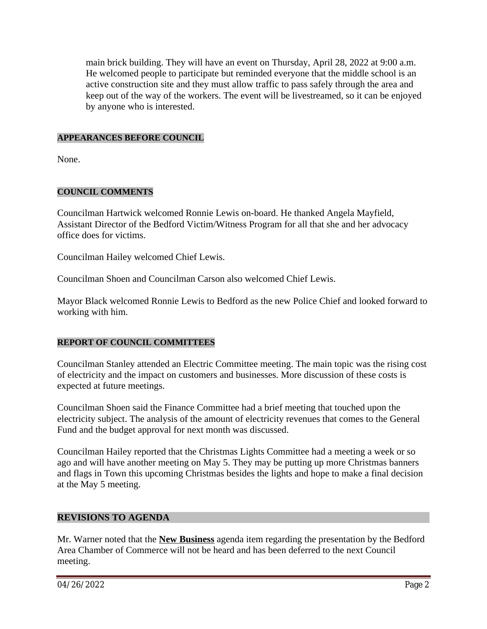main brick building. They will have an event on Thursday, April 28, 2022 at 9:00 a.m. He welcomed people to participate but reminded everyone that the middle school is an active construction site and they must allow traffic to pass safely through the area and keep out of the way of the workers. The event will be livestreamed, so it can be enjoyed by anyone who is interested.

### **APPEARANCES BEFORE COUNCIL**

None.

# **COUNCIL COMMENTS**

Councilman Hartwick welcomed Ronnie Lewis on-board. He thanked Angela Mayfield, Assistant Director of the Bedford Victim/Witness Program for all that she and her advocacy office does for victims.

Councilman Hailey welcomed Chief Lewis.

Councilman Shoen and Councilman Carson also welcomed Chief Lewis.

Mayor Black welcomed Ronnie Lewis to Bedford as the new Police Chief and looked forward to working with him.

# **REPORT OF COUNCIL COMMITTEES**

Councilman Stanley attended an Electric Committee meeting. The main topic was the rising cost of electricity and the impact on customers and businesses. More discussion of these costs is expected at future meetings.

Councilman Shoen said the Finance Committee had a brief meeting that touched upon the electricity subject. The analysis of the amount of electricity revenues that comes to the General Fund and the budget approval for next month was discussed.

Councilman Hailey reported that the Christmas Lights Committee had a meeting a week or so ago and will have another meeting on May 5. They may be putting up more Christmas banners and flags in Town this upcoming Christmas besides the lights and hope to make a final decision at the May 5 meeting.

# **REVISIONS TO AGENDA**

Mr. Warner noted that the **New Business** agenda item regarding the presentation by the Bedford Area Chamber of Commerce will not be heard and has been deferred to the next Council meeting.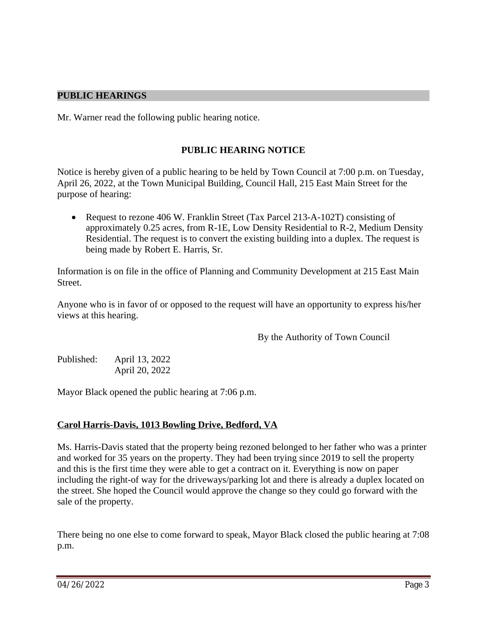### **PUBLIC HEARINGS**

Mr. Warner read the following public hearing notice.

### **PUBLIC HEARING NOTICE**

Notice is hereby given of a public hearing to be held by Town Council at 7:00 p.m. on Tuesday, April 26, 2022, at the Town Municipal Building, Council Hall, 215 East Main Street for the purpose of hearing:

• Request to rezone 406 W. Franklin Street (Tax Parcel 213-A-102T) consisting of approximately 0.25 acres, from R-1E, Low Density Residential to R-2, Medium Density Residential. The request is to convert the existing building into a duplex. The request is being made by Robert E. Harris, Sr.

Information is on file in the office of Planning and Community Development at 215 East Main Street.

Anyone who is in favor of or opposed to the request will have an opportunity to express his/her views at this hearing.

By the Authority of Town Council

Published: April 13, 2022 April 20, 2022

Mayor Black opened the public hearing at 7:06 p.m.

#### **Carol Harris-Davis, 1013 Bowling Drive, Bedford, VA**

Ms. Harris-Davis stated that the property being rezoned belonged to her father who was a printer and worked for 35 years on the property. They had been trying since 2019 to sell the property and this is the first time they were able to get a contract on it. Everything is now on paper including the right-of way for the driveways/parking lot and there is already a duplex located on the street. She hoped the Council would approve the change so they could go forward with the sale of the property.

There being no one else to come forward to speak, Mayor Black closed the public hearing at 7:08 p.m.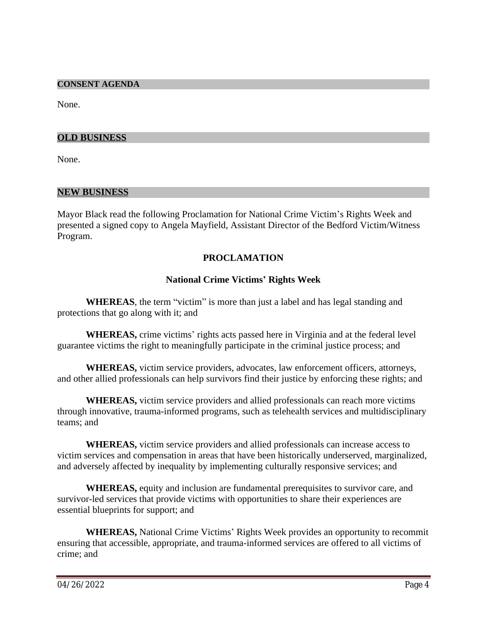#### **CONSENT AGENDA**

None.

#### **OLD BUSINESS**

None.

#### **NEW BUSINESS**

Mayor Black read the following Proclamation for National Crime Victim's Rights Week and presented a signed copy to Angela Mayfield, Assistant Director of the Bedford Victim/Witness Program.

### **PROCLAMATION**

#### **National Crime Victims' Rights Week**

**WHEREAS**, the term "victim" is more than just a label and has legal standing and protections that go along with it; and

**WHEREAS,** crime victims' rights acts passed here in Virginia and at the federal level guarantee victims the right to meaningfully participate in the criminal justice process; and

**WHEREAS,** victim service providers, advocates, law enforcement officers, attorneys, and other allied professionals can help survivors find their justice by enforcing these rights; and

**WHEREAS,** victim service providers and allied professionals can reach more victims through innovative, trauma-informed programs, such as telehealth services and multidisciplinary teams; and

**WHEREAS,** victim service providers and allied professionals can increase access to victim services and compensation in areas that have been historically underserved, marginalized, and adversely affected by inequality by implementing culturally responsive services; and

**WHEREAS,** equity and inclusion are fundamental prerequisites to survivor care, and survivor-led services that provide victims with opportunities to share their experiences are essential blueprints for support; and

**WHEREAS,** National Crime Victims' Rights Week provides an opportunity to recommit ensuring that accessible, appropriate, and trauma-informed services are offered to all victims of crime; and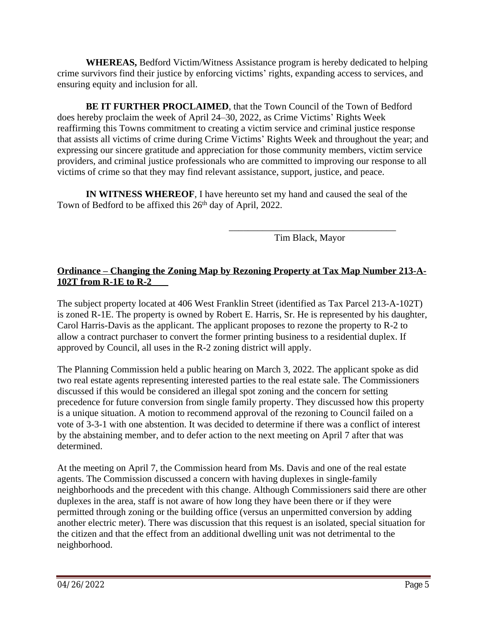**WHEREAS,** Bedford Victim/Witness Assistance program is hereby dedicated to helping crime survivors find their justice by enforcing victims' rights, expanding access to services, and ensuring equity and inclusion for all.

**BE IT FURTHER PROCLAIMED**, that the Town Council of the Town of Bedford does hereby proclaim the week of April 24–30, 2022, as Crime Victims' Rights Week reaffirming this Towns commitment to creating a victim service and criminal justice response that assists all victims of crime during Crime Victims' Rights Week and throughout the year; and expressing our sincere gratitude and appreciation for those community members, victim service providers, and criminal justice professionals who are committed to improving our response to all victims of crime so that they may find relevant assistance, support, justice, and peace.

**IN WITNESS WHEREOF**, I have hereunto set my hand and caused the seal of the Town of Bedford to be affixed this 26<sup>th</sup> day of April, 2022.

> \_\_\_\_\_\_\_\_\_\_\_\_\_\_\_\_\_\_\_\_\_\_\_\_\_\_\_\_\_\_\_\_\_\_\_ Tim Black, Mayor

# **Ordinance – Changing the Zoning Map by Rezoning Property at Tax Map Number 213-A-102T from R-1E to R-2**

The subject property located at 406 West Franklin Street (identified as Tax Parcel 213-A-102T) is zoned R-1E. The property is owned by Robert E. Harris, Sr. He is represented by his daughter, Carol Harris-Davis as the applicant. The applicant proposes to rezone the property to R-2 to allow a contract purchaser to convert the former printing business to a residential duplex. If approved by Council, all uses in the R-2 zoning district will apply.

The Planning Commission held a public hearing on March 3, 2022. The applicant spoke as did two real estate agents representing interested parties to the real estate sale. The Commissioners discussed if this would be considered an illegal spot zoning and the concern for setting precedence for future conversion from single family property. They discussed how this property is a unique situation. A motion to recommend approval of the rezoning to Council failed on a vote of 3-3-1 with one abstention. It was decided to determine if there was a conflict of interest by the abstaining member, and to defer action to the next meeting on April 7 after that was determined.

At the meeting on April 7, the Commission heard from Ms. Davis and one of the real estate agents. The Commission discussed a concern with having duplexes in single-family neighborhoods and the precedent with this change. Although Commissioners said there are other duplexes in the area, staff is not aware of how long they have been there or if they were permitted through zoning or the building office (versus an unpermitted conversion by adding another electric meter). There was discussion that this request is an isolated, special situation for the citizen and that the effect from an additional dwelling unit was not detrimental to the neighborhood.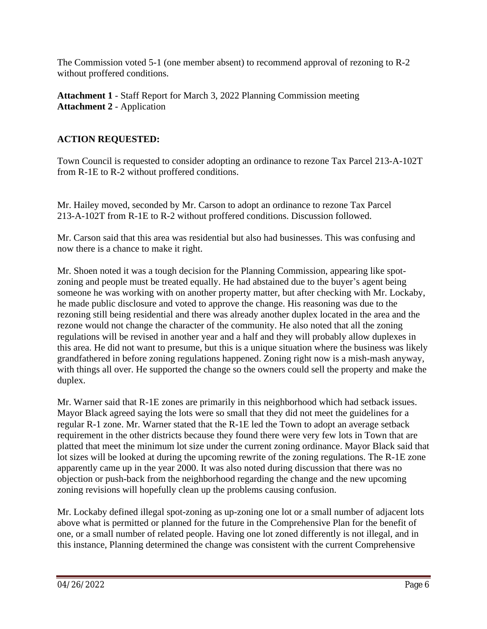The Commission voted 5-1 (one member absent) to recommend approval of rezoning to R-2 without proffered conditions.

**Attachment 1** - Staff Report for March 3, 2022 Planning Commission meeting **Attachment 2** - Application

# **ACTION REQUESTED:**

Town Council is requested to consider adopting an ordinance to rezone Tax Parcel 213-A-102T from R-1E to R-2 without proffered conditions.

Mr. Hailey moved, seconded by Mr. Carson to adopt an ordinance to rezone Tax Parcel 213-A-102T from R-1E to R-2 without proffered conditions. Discussion followed.

Mr. Carson said that this area was residential but also had businesses. This was confusing and now there is a chance to make it right.

Mr. Shoen noted it was a tough decision for the Planning Commission, appearing like spotzoning and people must be treated equally. He had abstained due to the buyer's agent being someone he was working with on another property matter, but after checking with Mr. Lockaby, he made public disclosure and voted to approve the change. His reasoning was due to the rezoning still being residential and there was already another duplex located in the area and the rezone would not change the character of the community. He also noted that all the zoning regulations will be revised in another year and a half and they will probably allow duplexes in this area. He did not want to presume, but this is a unique situation where the business was likely grandfathered in before zoning regulations happened. Zoning right now is a mish-mash anyway, with things all over. He supported the change so the owners could sell the property and make the duplex.

Mr. Warner said that R-1E zones are primarily in this neighborhood which had setback issues. Mayor Black agreed saying the lots were so small that they did not meet the guidelines for a regular R-1 zone. Mr. Warner stated that the R-1E led the Town to adopt an average setback requirement in the other districts because they found there were very few lots in Town that are platted that meet the minimum lot size under the current zoning ordinance. Mayor Black said that lot sizes will be looked at during the upcoming rewrite of the zoning regulations. The R-1E zone apparently came up in the year 2000. It was also noted during discussion that there was no objection or push-back from the neighborhood regarding the change and the new upcoming zoning revisions will hopefully clean up the problems causing confusion.

Mr. Lockaby defined illegal spot-zoning as up-zoning one lot or a small number of adjacent lots above what is permitted or planned for the future in the Comprehensive Plan for the benefit of one, or a small number of related people. Having one lot zoned differently is not illegal, and in this instance, Planning determined the change was consistent with the current Comprehensive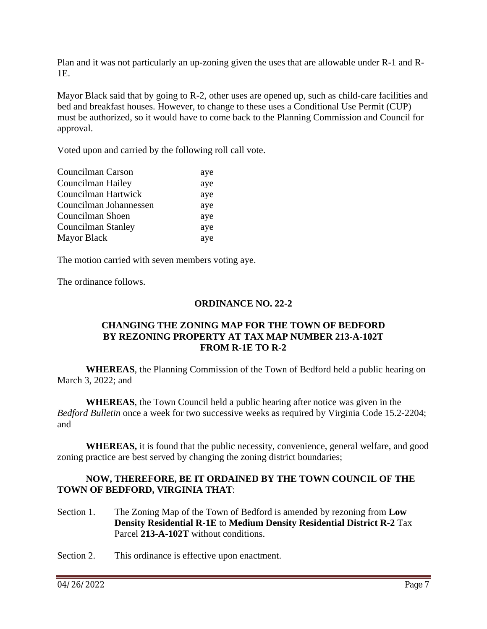Plan and it was not particularly an up-zoning given the uses that are allowable under R-1 and R-1E.

Mayor Black said that by going to R-2, other uses are opened up, such as child-care facilities and bed and breakfast houses. However, to change to these uses a Conditional Use Permit (CUP) must be authorized, so it would have to come back to the Planning Commission and Council for approval.

Voted upon and carried by the following roll call vote.

| aye |
|-----|
| aye |
| aye |
| aye |
| aye |
| aye |
| aye |
|     |

The motion carried with seven members voting aye.

The ordinance follows.

### **ORDINANCE NO. 22-2**

### **CHANGING THE ZONING MAP FOR THE TOWN OF BEDFORD BY REZONING PROPERTY AT TAX MAP NUMBER 213-A-102T FROM R-1E TO R-2**

**WHEREAS**, the Planning Commission of the Town of Bedford held a public hearing on March 3, 2022; and

**WHEREAS**, the Town Council held a public hearing after notice was given in the *Bedford Bulletin* once a week for two successive weeks as required by Virginia Code 15.2-2204; and

**WHEREAS,** it is found that the public necessity, convenience, general welfare, and good zoning practice are best served by changing the zoning district boundaries;

# **NOW, THEREFORE, BE IT ORDAINED BY THE TOWN COUNCIL OF THE TOWN OF BEDFORD, VIRGINIA THAT**:

Section 1. The Zoning Map of the Town of Bedford is amended by rezoning from **Low Density Residential R-1E** to **Medium Density Residential District R-2** Tax Parcel **213-A-102T** without conditions.

Section 2. This ordinance is effective upon enactment.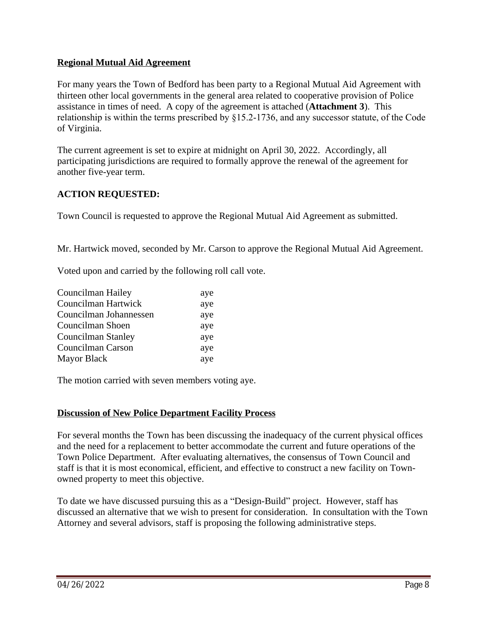### **Regional Mutual Aid Agreement**

For many years the Town of Bedford has been party to a Regional Mutual Aid Agreement with thirteen other local governments in the general area related to cooperative provision of Police assistance in times of need. A copy of the agreement is attached (**Attachment 3**). This relationship is within the terms prescribed by §15.2-1736, and any successor statute, of the Code of Virginia.

The current agreement is set to expire at midnight on April 30, 2022. Accordingly, all participating jurisdictions are required to formally approve the renewal of the agreement for another five-year term.

# **ACTION REQUESTED:**

Town Council is requested to approve the Regional Mutual Aid Agreement as submitted.

Mr. Hartwick moved, seconded by Mr. Carson to approve the Regional Mutual Aid Agreement.

Voted upon and carried by the following roll call vote.

| aye |
|-----|
| aye |
| aye |
| aye |
| aye |
| aye |
| aye |
|     |

The motion carried with seven members voting aye.

#### **Discussion of New Police Department Facility Process**

For several months the Town has been discussing the inadequacy of the current physical offices and the need for a replacement to better accommodate the current and future operations of the Town Police Department. After evaluating alternatives, the consensus of Town Council and staff is that it is most economical, efficient, and effective to construct a new facility on Townowned property to meet this objective.

To date we have discussed pursuing this as a "Design-Build" project. However, staff has discussed an alternative that we wish to present for consideration. In consultation with the Town Attorney and several advisors, staff is proposing the following administrative steps.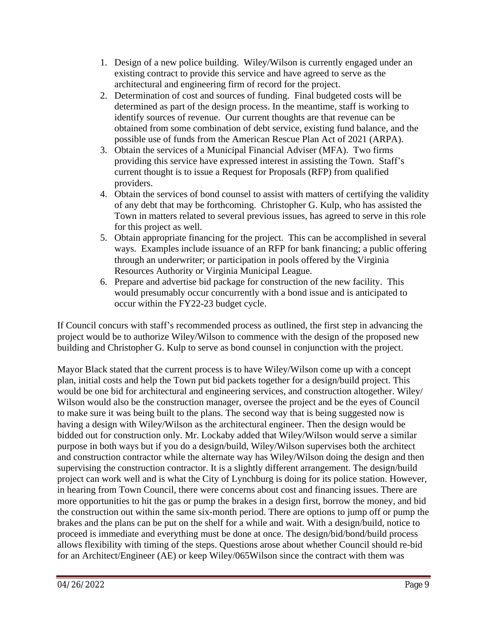- 1. Design of a new police building. Wiley/Wilson is currently engaged under an existing contract to provide this service and have agreed to serve as the architectural and engineering firm of record for the project.
- 2. Determination of cost and sources of funding. Final budgeted costs will be determined as part of the design process. In the meantime, staff is working to identify sources of revenue. Our current thoughts are that revenue can be obtained from some combination of debt service, existing fund balance, and the possible use of funds from the American Rescue Plan Act of 2021 (ARPA).
- 3. Obtain the services of a Municipal Financial Adviser (MFA). Two firms providing this service have expressed interest in assisting the Town. Staff's current thought is to issue a Request for Proposals (RFP) from qualified providers.
- 4. Obtain the services of bond counsel to assist with matters of certifying the validity of any debt that may be forthcoming. Christopher G. Kulp, who has assisted the Town in matters related to several previous issues, has agreed to serve in this role for this project as well.
- 5. Obtain appropriate financing for the project. This can be accomplished in several ways. Examples include issuance of an RFP for bank financing; a public offering through an underwriter; or participation in pools offered by the Virginia Resources Authority or Virginia Municipal League.
- 6. Prepare and advertise bid package for construction of the new facility. This would presumably occur concurrently with a bond issue and is anticipated to occur within the FY22-23 budget cycle.

If Council concurs with staff's recommended process as outlined, the first step in advancing the project would be to authorize Wiley/Wilson to commence with the design of the proposed new building and Christopher G. Kulp to serve as bond counsel in conjunction with the project.

Mayor Black stated that the current process is to have Wiley/Wilson come up with a concept plan, initial costs and help the Town put bid packets together for a design/build project. This would be one bid for architectural and engineering services, and construction altogether. Wiley/ Wilson would also be the construction manager, oversee the project and be the eyes of Council to make sure it was being built to the plans. The second way that is being suggested now is having a design with Wiley/Wilson as the architectural engineer. Then the design would be bidded out for construction only. Mr. Lockaby added that Wiley/Wilson would serve a similar purpose in both ways but if you do a design/build, Wiley/Wilson supervises both the architect and construction contractor while the alternate way has Wiley/Wilson doing the design and then supervising the construction contractor. It is a slightly different arrangement. The design/build project can work well and is what the City of Lynchburg is doing for its police station. However, in hearing from Town Council, there were concerns about cost and financing issues. There are more opportunities to hit the gas or pump the brakes in a design first, borrow the money, and bid the construction out within the same six-month period. There are options to jump off or pump the brakes and the plans can be put on the shelf for a while and wait. With a design/build, notice to proceed is immediate and everything must be done at once. The design/bid/bond/build process allows flexibility with timing of the steps. Questions arose about whether Council should re-bid for an Architect/Engineer (AE) or keep Wiley/065Wilson since the contract with them was